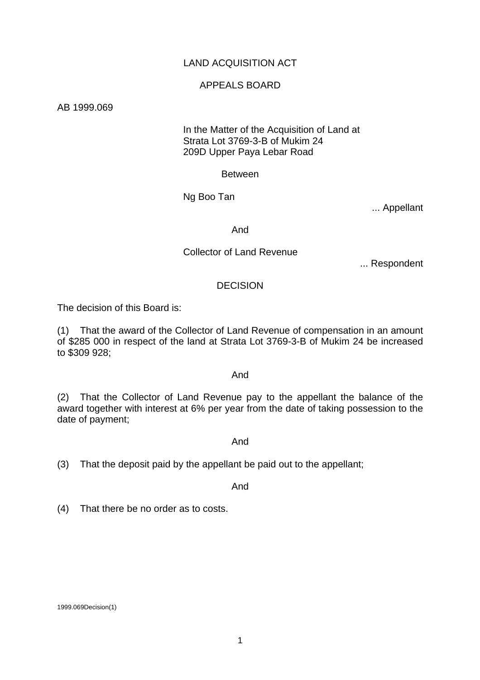# LAND ACQUISITION ACT

## APPEALS BOARD

AB 1999.069

## In the Matter of the Acquisition of Land at Strata Lot 3769-3-B of Mukim 24 209D Upper Paya Lebar Road

Between

Ng Boo Tan

... Appellant

And

## Collector of Land Revenue

... Respondent

## DECISION

The decision of this Board is:

(1) That the award of the Collector of Land Revenue of compensation in an amount of \$285 000 in respect of the land at Strata Lot 3769-3-B of Mukim 24 be increased to \$309 928;

#### And

(2) That the Collector of Land Revenue pay to the appellant the balance of the award together with interest at 6% per year from the date of taking possession to the date of payment;

#### And

(3) That the deposit paid by the appellant be paid out to the appellant;

And

(4) That there be no order as to costs.

1999.069Decision(1)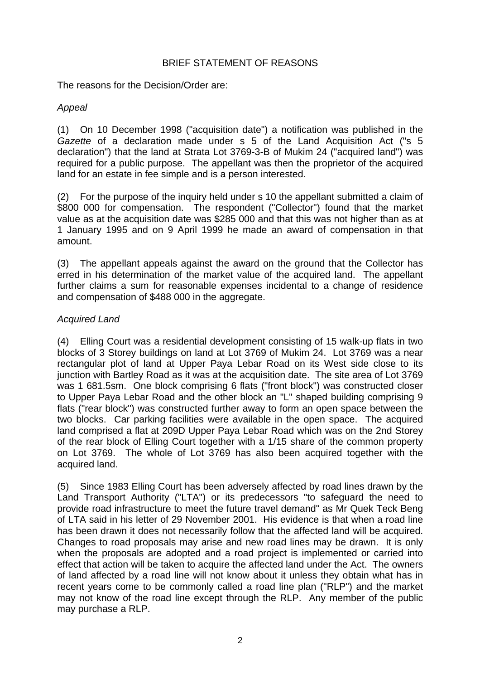# BRIEF STATEMENT OF REASONS

The reasons for the Decision/Order are:

# *Appeal*

(1) On 10 December 1998 ("acquisition date") a notification was published in the *Gazette* of a declaration made under s 5 of the Land Acquisition Act ("s 5 declaration") that the land at Strata Lot 3769-3-B of Mukim 24 ("acquired land") was required for a public purpose. The appellant was then the proprietor of the acquired land for an estate in fee simple and is a person interested.

(2) For the purpose of the inquiry held under s 10 the appellant submitted a claim of \$800 000 for compensation. The respondent ("Collector") found that the market value as at the acquisition date was \$285 000 and that this was not higher than as at 1 January 1995 and on 9 April 1999 he made an award of compensation in that amount.

(3) The appellant appeals against the award on the ground that the Collector has erred in his determination of the market value of the acquired land. The appellant further claims a sum for reasonable expenses incidental to a change of residence and compensation of \$488 000 in the aggregate.

# *Acquired Land*

(4) Elling Court was a residential development consisting of 15 walk-up flats in two blocks of 3 Storey buildings on land at Lot 3769 of Mukim 24. Lot 3769 was a near rectangular plot of land at Upper Paya Lebar Road on its West side close to its junction with Bartley Road as it was at the acquisition date. The site area of Lot 3769 was 1 681.5sm. One block comprising 6 flats ("front block") was constructed closer to Upper Paya Lebar Road and the other block an "L" shaped building comprising 9 flats ("rear block") was constructed further away to form an open space between the two blocks. Car parking facilities were available in the open space. The acquired land comprised a flat at 209D Upper Paya Lebar Road which was on the 2nd Storey of the rear block of Elling Court together with a 1/15 share of the common property on Lot 3769. The whole of Lot 3769 has also been acquired together with the acquired land.

(5) Since 1983 Elling Court has been adversely affected by road lines drawn by the Land Transport Authority ("LTA") or its predecessors "to safeguard the need to provide road infrastructure to meet the future travel demand" as Mr Quek Teck Beng of LTA said in his letter of 29 November 2001. His evidence is that when a road line has been drawn it does not necessarily follow that the affected land will be acquired. Changes to road proposals may arise and new road lines may be drawn. It is only when the proposals are adopted and a road project is implemented or carried into effect that action will be taken to acquire the affected land under the Act. The owners of land affected by a road line will not know about it unless they obtain what has in recent years come to be commonly called a road line plan ("RLP") and the market may not know of the road line except through the RLP. Any member of the public may purchase a RLP.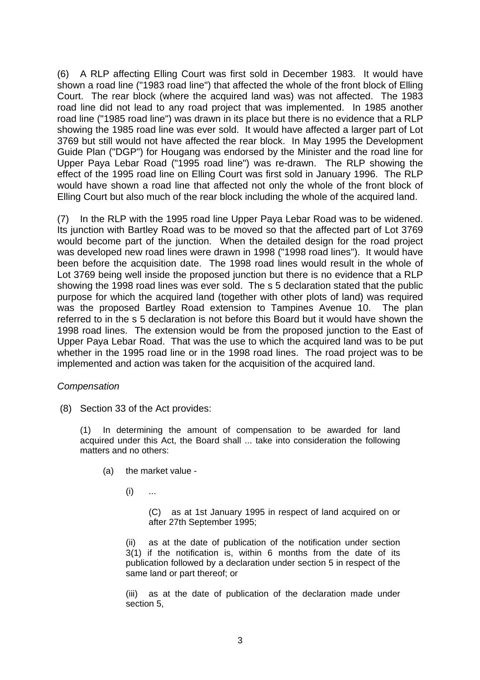(6) A RLP affecting Elling Court was first sold in December 1983. It would have shown a road line ("1983 road line") that affected the whole of the front block of Elling Court. The rear block (where the acquired land was) was not affected. The 1983 road line did not lead to any road project that was implemented. In 1985 another road line ("1985 road line") was drawn in its place but there is no evidence that a RLP showing the 1985 road line was ever sold. It would have affected a larger part of Lot 3769 but still would not have affected the rear block. In May 1995 the Development Guide Plan ("DGP") for Hougang was endorsed by the Minister and the road line for Upper Paya Lebar Road ("1995 road line") was re-drawn. The RLP showing the effect of the 1995 road line on Elling Court was first sold in January 1996. The RLP would have shown a road line that affected not only the whole of the front block of Elling Court but also much of the rear block including the whole of the acquired land.

(7) In the RLP with the 1995 road line Upper Paya Lebar Road was to be widened. Its junction with Bartley Road was to be moved so that the affected part of Lot 3769 would become part of the junction. When the detailed design for the road project was developed new road lines were drawn in 1998 ("1998 road lines"). It would have been before the acquisition date. The 1998 road lines would result in the whole of Lot 3769 being well inside the proposed junction but there is no evidence that a RLP showing the 1998 road lines was ever sold. The s 5 declaration stated that the public purpose for which the acquired land (together with other plots of land) was required was the proposed Bartley Road extension to Tampines Avenue 10. The plan referred to in the s 5 declaration is not before this Board but it would have shown the 1998 road lines. The extension would be from the proposed junction to the East of Upper Paya Lebar Road. That was the use to which the acquired land was to be put whether in the 1995 road line or in the 1998 road lines. The road project was to be implemented and action was taken for the acquisition of the acquired land.

## *Compensation*

(8) Section 33 of the Act provides:

(1) In determining the amount of compensation to be awarded for land acquired under this Act, the Board shall ... take into consideration the following matters and no others:

- (a) the market value
	- $(i)$  ...

(C) as at 1st January 1995 in respect of land acquired on or after 27th September 1995;

(ii) as at the date of publication of the notification under section 3(1) if the notification is, within 6 months from the date of its publication followed by a declaration under section 5 in respect of the same land or part thereof; or

(iii) as at the date of publication of the declaration made under section 5,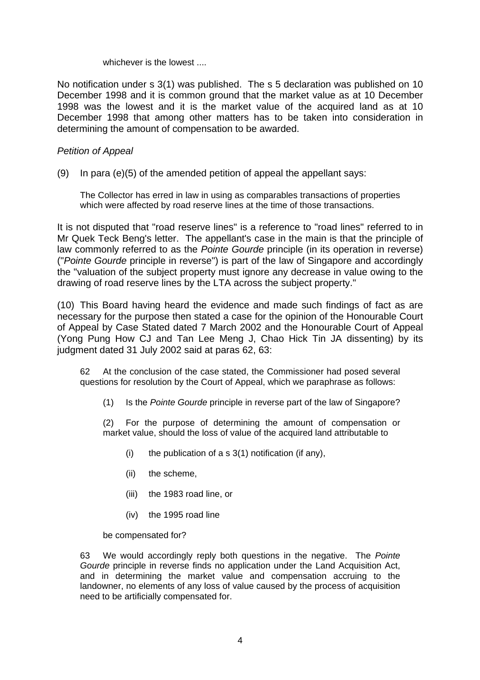#### whichever is the lowest

No notification under s 3(1) was published. The s 5 declaration was published on 10 December 1998 and it is common ground that the market value as at 10 December 1998 was the lowest and it is the market value of the acquired land as at 10 December 1998 that among other matters has to be taken into consideration in determining the amount of compensation to be awarded.

## *Petition of Appeal*

(9) In para (e)(5) of the amended petition of appeal the appellant says:

The Collector has erred in law in using as comparables transactions of properties which were affected by road reserve lines at the time of those transactions.

It is not disputed that "road reserve lines" is a reference to "road lines" referred to in Mr Quek Teck Beng's letter. The appellant's case in the main is that the principle of law commonly referred to as the *Pointe Gourde* principle (in its operation in reverse) ("*Pointe Gourde* principle in reverse") is part of the law of Singapore and accordingly the "valuation of the subject property must ignore any decrease in value owing to the drawing of road reserve lines by the LTA across the subject property."

(10) This Board having heard the evidence and made such findings of fact as are necessary for the purpose then stated a case for the opinion of the Honourable Court of Appeal by Case Stated dated 7 March 2002 and the Honourable Court of Appeal (Yong Pung How CJ and Tan Lee Meng J, Chao Hick Tin JA dissenting) by its judgment dated 31 July 2002 said at paras 62, 63:

62 At the conclusion of the case stated, the Commissioner had posed several questions for resolution by the Court of Appeal, which we paraphrase as follows:

(1) Is the *Pointe Gourde* principle in reverse part of the law of Singapore?

 (2) For the purpose of determining the amount of compensation or market value, should the loss of value of the acquired land attributable to

- (i) the publication of a s  $3(1)$  notification (if any),
- (ii) the scheme,
- (iii) the 1983 road line, or
- (iv) the 1995 road line

be compensated for?

63 We would accordingly reply both questions in the negative. The *Pointe Gourde* principle in reverse finds no application under the Land Acquisition Act, and in determining the market value and compensation accruing to the landowner, no elements of any loss of value caused by the process of acquisition need to be artificially compensated for.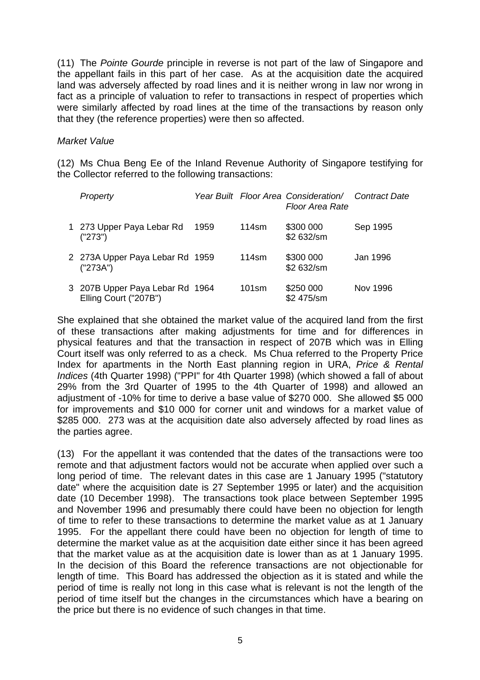(11) The *Pointe Gourde* principle in reverse is not part of the law of Singapore and the appellant fails in this part of her case. As at the acquisition date the acquired land was adversely affected by road lines and it is neither wrong in law nor wrong in fact as a principle of valuation to refer to transactions in respect of properties which were similarly affected by road lines at the time of the transactions by reason only that they (the reference properties) were then so affected.

## *Market Value*

(12) Ms Chua Beng Ee of the Inland Revenue Authority of Singapore testifying for the Collector referred to the following transactions:

| Property                                                 |      |       | Year Built Floor Area Consideration/ Contract Date<br>Floor Area Rate |          |
|----------------------------------------------------------|------|-------|-----------------------------------------------------------------------|----------|
| 1 273 Upper Paya Lebar Rd<br>("273")                     | 1959 | 114sm | \$300 000<br>\$2 632/sm                                               | Sep 1995 |
| 2 273A Upper Paya Lebar Rd 1959<br>('273A")              |      | 114sm | \$300 000<br>\$2 632/sm                                               | Jan 1996 |
| 3 207B Upper Paya Lebar Rd 1964<br>Elling Court ("207B") |      | 101sm | \$250 000<br>\$2 475/sm                                               | Nov 1996 |

She explained that she obtained the market value of the acquired land from the first of these transactions after making adjustments for time and for differences in physical features and that the transaction in respect of 207B which was in Elling Court itself was only referred to as a check. Ms Chua referred to the Property Price Index for apartments in the North East planning region in URA, *Price & Rental Indices* (4th Quarter 1998) ("PPI" for 4th Quarter 1998) (which showed a fall of about 29% from the 3rd Quarter of 1995 to the 4th Quarter of 1998) and allowed an adjustment of -10% for time to derive a base value of \$270 000. She allowed \$5 000 for improvements and \$10 000 for corner unit and windows for a market value of \$285 000. 273 was at the acquisition date also adversely affected by road lines as the parties agree.

(13) For the appellant it was contended that the dates of the transactions were too remote and that adjustment factors would not be accurate when applied over such a long period of time. The relevant dates in this case are 1 January 1995 ("statutory date" where the acquisition date is 27 September 1995 or later) and the acquisition date (10 December 1998). The transactions took place between September 1995 and November 1996 and presumably there could have been no objection for length of time to refer to these transactions to determine the market value as at 1 January 1995. For the appellant there could have been no objection for length of time to determine the market value as at the acquisition date either since it has been agreed that the market value as at the acquisition date is lower than as at 1 January 1995. In the decision of this Board the reference transactions are not objectionable for length of time. This Board has addressed the objection as it is stated and while the period of time is really not long in this case what is relevant is not the length of the period of time itself but the changes in the circumstances which have a bearing on the price but there is no evidence of such changes in that time.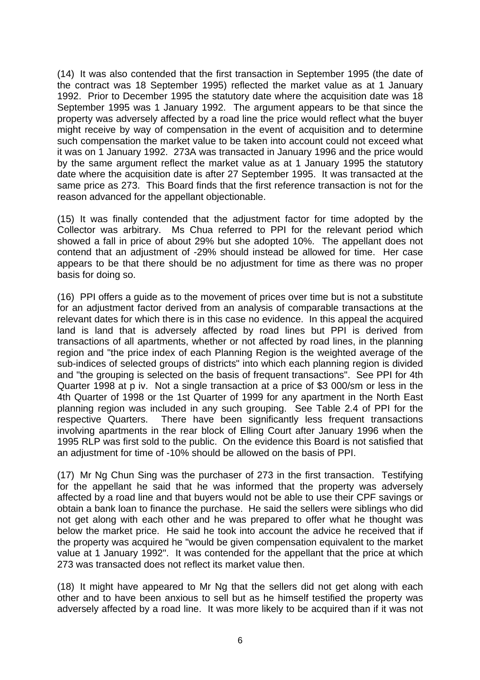(14) It was also contended that the first transaction in September 1995 (the date of the contract was 18 September 1995) reflected the market value as at 1 January 1992. Prior to December 1995 the statutory date where the acquisition date was 18 September 1995 was 1 January 1992. The argument appears to be that since the property was adversely affected by a road line the price would reflect what the buyer might receive by way of compensation in the event of acquisition and to determine such compensation the market value to be taken into account could not exceed what it was on 1 January 1992. 273A was transacted in January 1996 and the price would by the same argument reflect the market value as at 1 January 1995 the statutory date where the acquisition date is after 27 September 1995. It was transacted at the same price as 273. This Board finds that the first reference transaction is not for the reason advanced for the appellant objectionable.

(15) It was finally contended that the adjustment factor for time adopted by the Collector was arbitrary. Ms Chua referred to PPI for the relevant period which showed a fall in price of about 29% but she adopted 10%. The appellant does not contend that an adjustment of -29% should instead be allowed for time. Her case appears to be that there should be no adjustment for time as there was no proper basis for doing so.

(16) PPI offers a guide as to the movement of prices over time but is not a substitute for an adjustment factor derived from an analysis of comparable transactions at the relevant dates for which there is in this case no evidence. In this appeal the acquired land is land that is adversely affected by road lines but PPI is derived from transactions of all apartments, whether or not affected by road lines, in the planning region and "the price index of each Planning Region is the weighted average of the sub-indices of selected groups of districts" into which each planning region is divided and "the grouping is selected on the basis of frequent transactions". See PPI for 4th Quarter 1998 at p iv. Not a single transaction at a price of \$3 000/sm or less in the 4th Quarter of 1998 or the 1st Quarter of 1999 for any apartment in the North East planning region was included in any such grouping. See Table 2.4 of PPI for the respective Quarters. There have been significantly less frequent transactions involving apartments in the rear block of Elling Court after January 1996 when the 1995 RLP was first sold to the public. On the evidence this Board is not satisfied that an adjustment for time of -10% should be allowed on the basis of PPI.

(17) Mr Ng Chun Sing was the purchaser of 273 in the first transaction. Testifying for the appellant he said that he was informed that the property was adversely affected by a road line and that buyers would not be able to use their CPF savings or obtain a bank loan to finance the purchase. He said the sellers were siblings who did not get along with each other and he was prepared to offer what he thought was below the market price. He said he took into account the advice he received that if the property was acquired he "would be given compensation equivalent to the market value at 1 January 1992". It was contended for the appellant that the price at which 273 was transacted does not reflect its market value then.

(18) It might have appeared to Mr Ng that the sellers did not get along with each other and to have been anxious to sell but as he himself testified the property was adversely affected by a road line. It was more likely to be acquired than if it was not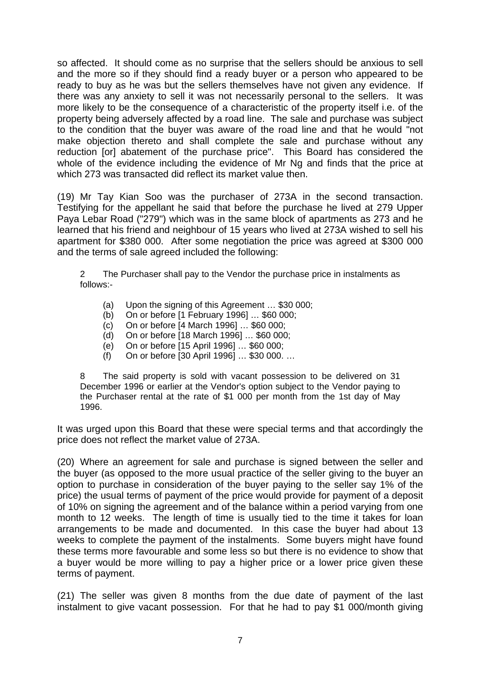so affected. It should come as no surprise that the sellers should be anxious to sell and the more so if they should find a ready buyer or a person who appeared to be ready to buy as he was but the sellers themselves have not given any evidence. If there was any anxiety to sell it was not necessarily personal to the sellers. It was more likely to be the consequence of a characteristic of the property itself i.e. of the property being adversely affected by a road line. The sale and purchase was subject to the condition that the buyer was aware of the road line and that he would "not make objection thereto and shall complete the sale and purchase without any reduction [or] abatement of the purchase price". This Board has considered the whole of the evidence including the evidence of Mr Ng and finds that the price at which 273 was transacted did reflect its market value then.

(19) Mr Tay Kian Soo was the purchaser of 273A in the second transaction. Testifying for the appellant he said that before the purchase he lived at 279 Upper Paya Lebar Road ("279") which was in the same block of apartments as 273 and he learned that his friend and neighbour of 15 years who lived at 273A wished to sell his apartment for \$380 000. After some negotiation the price was agreed at \$300 000 and the terms of sale agreed included the following:

2 The Purchaser shall pay to the Vendor the purchase price in instalments as follows:-

- (a) Upon the signing of this Agreement … \$30 000;
- (b) On or before [1 February 1996] … \$60 000;
- (c) On or before [4 March 1996] … \$60 000;
- (d) On or before [18 March 1996] … \$60 000;
- (e) On or before [15 April 1996] … \$60 000;
- (f) On or before [30 April 1996] … \$30 000. …

8 The said property is sold with vacant possession to be delivered on 31 December 1996 or earlier at the Vendor's option subject to the Vendor paying to the Purchaser rental at the rate of \$1 000 per month from the 1st day of May 1996.

It was urged upon this Board that these were special terms and that accordingly the price does not reflect the market value of 273A.

(20) Where an agreement for sale and purchase is signed between the seller and the buyer (as opposed to the more usual practice of the seller giving to the buyer an option to purchase in consideration of the buyer paying to the seller say 1% of the price) the usual terms of payment of the price would provide for payment of a deposit of 10% on signing the agreement and of the balance within a period varying from one month to 12 weeks. The length of time is usually tied to the time it takes for loan arrangements to be made and documented. In this case the buyer had about 13 weeks to complete the payment of the instalments. Some buyers might have found these terms more favourable and some less so but there is no evidence to show that a buyer would be more willing to pay a higher price or a lower price given these terms of payment.

(21) The seller was given 8 months from the due date of payment of the last instalment to give vacant possession. For that he had to pay \$1 000/month giving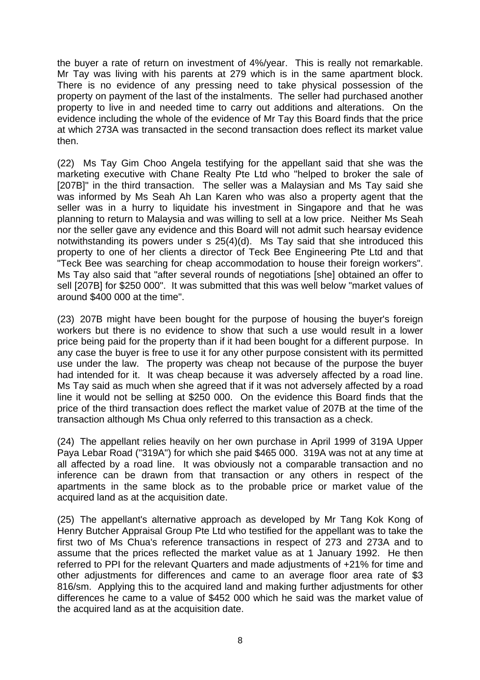the buyer a rate of return on investment of 4%/year. This is really not remarkable. Mr Tay was living with his parents at 279 which is in the same apartment block. There is no evidence of any pressing need to take physical possession of the property on payment of the last of the instalments. The seller had purchased another property to live in and needed time to carry out additions and alterations. On the evidence including the whole of the evidence of Mr Tay this Board finds that the price at which 273A was transacted in the second transaction does reflect its market value then.

(22) Ms Tay Gim Choo Angela testifying for the appellant said that she was the marketing executive with Chane Realty Pte Ltd who "helped to broker the sale of [207B]" in the third transaction. The seller was a Malaysian and Ms Tay said she was informed by Ms Seah Ah Lan Karen who was also a property agent that the seller was in a hurry to liquidate his investment in Singapore and that he was planning to return to Malaysia and was willing to sell at a low price. Neither Ms Seah nor the seller gave any evidence and this Board will not admit such hearsay evidence notwithstanding its powers under s 25(4)(d). Ms Tay said that she introduced this property to one of her clients a director of Teck Bee Engineering Pte Ltd and that "Teck Bee was searching for cheap accommodation to house their foreign workers". Ms Tay also said that "after several rounds of negotiations [she] obtained an offer to sell [207B] for \$250 000". It was submitted that this was well below "market values of around \$400 000 at the time".

(23) 207B might have been bought for the purpose of housing the buyer's foreign workers but there is no evidence to show that such a use would result in a lower price being paid for the property than if it had been bought for a different purpose. In any case the buyer is free to use it for any other purpose consistent with its permitted use under the law. The property was cheap not because of the purpose the buyer had intended for it. It was cheap because it was adversely affected by a road line. Ms Tay said as much when she agreed that if it was not adversely affected by a road line it would not be selling at \$250 000. On the evidence this Board finds that the price of the third transaction does reflect the market value of 207B at the time of the transaction although Ms Chua only referred to this transaction as a check.

(24) The appellant relies heavily on her own purchase in April 1999 of 319A Upper Paya Lebar Road ("319A") for which she paid \$465 000. 319A was not at any time at all affected by a road line. It was obviously not a comparable transaction and no inference can be drawn from that transaction or any others in respect of the apartments in the same block as to the probable price or market value of the acquired land as at the acquisition date.

(25) The appellant's alternative approach as developed by Mr Tang Kok Kong of Henry Butcher Appraisal Group Pte Ltd who testified for the appellant was to take the first two of Ms Chua's reference transactions in respect of 273 and 273A and to assume that the prices reflected the market value as at 1 January 1992. He then referred to PPI for the relevant Quarters and made adjustments of +21% for time and other adjustments for differences and came to an average floor area rate of \$3 816/sm. Applying this to the acquired land and making further adjustments for other differences he came to a value of \$452 000 which he said was the market value of the acquired land as at the acquisition date.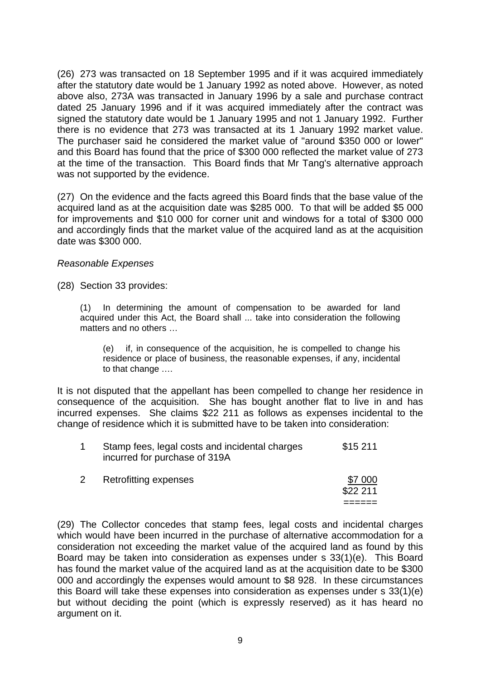(26) 273 was transacted on 18 September 1995 and if it was acquired immediately after the statutory date would be 1 January 1992 as noted above. However, as noted above also, 273A was transacted in January 1996 by a sale and purchase contract dated 25 January 1996 and if it was acquired immediately after the contract was signed the statutory date would be 1 January 1995 and not 1 January 1992. Further there is no evidence that 273 was transacted at its 1 January 1992 market value. The purchaser said he considered the market value of "around \$350 000 or lower" and this Board has found that the price of \$300 000 reflected the market value of 273 at the time of the transaction. This Board finds that Mr Tang's alternative approach was not supported by the evidence.

(27) On the evidence and the facts agreed this Board finds that the base value of the acquired land as at the acquisition date was \$285 000. To that will be added \$5 000 for improvements and \$10 000 for corner unit and windows for a total of \$300 000 and accordingly finds that the market value of the acquired land as at the acquisition date was \$300 000.

## *Reasonable Expenses*

(28) Section 33 provides:

(1) In determining the amount of compensation to be awarded for land acquired under this Act, the Board shall ... take into consideration the following matters and no others …

 (e) if, in consequence of the acquisition, he is compelled to change his residence or place of business, the reasonable expenses, if any, incidental to that change .…

It is not disputed that the appellant has been compelled to change her residence in consequence of the acquisition. She has bought another flat to live in and has incurred expenses. She claims \$22 211 as follows as expenses incidental to the change of residence which it is submitted have to be taken into consideration:

|  | Stamp fees, legal costs and incidental charges<br>incurred for purchase of 319A | $$15\,211$ |
|--|---------------------------------------------------------------------------------|------------|
|  | $\blacksquare$ . The set of $\blacksquare$                                      | ~- ^^^     |

| \$22 211 |
|----------|
| ------   |

(29) The Collector concedes that stamp fees, legal costs and incidental charges which would have been incurred in the purchase of alternative accommodation for a consideration not exceeding the market value of the acquired land as found by this Board may be taken into consideration as expenses under s 33(1)(e). This Board has found the market value of the acquired land as at the acquisition date to be \$300 000 and accordingly the expenses would amount to \$8 928. In these circumstances this Board will take these expenses into consideration as expenses under s 33(1)(e) but without deciding the point (which is expressly reserved) as it has heard no argument on it.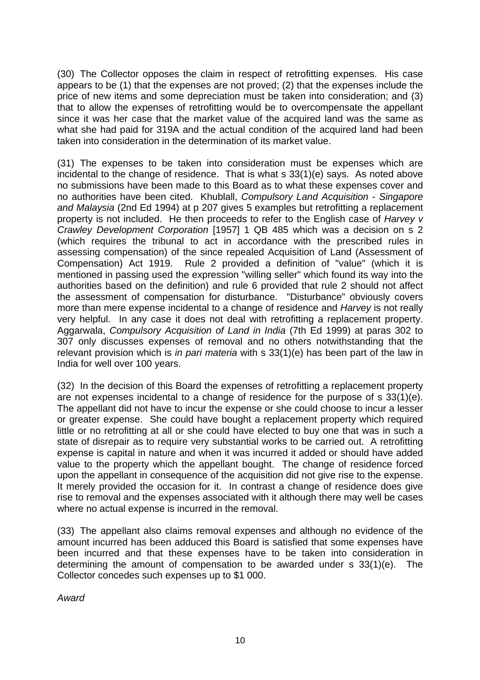(30) The Collector opposes the claim in respect of retrofitting expenses. His case appears to be (1) that the expenses are not proved; (2) that the expenses include the price of new items and some depreciation must be taken into consideration; and (3) that to allow the expenses of retrofitting would be to overcompensate the appellant since it was her case that the market value of the acquired land was the same as what she had paid for 319A and the actual condition of the acquired land had been taken into consideration in the determination of its market value.

(31) The expenses to be taken into consideration must be expenses which are incidental to the change of residence. That is what s 33(1)(e) says. As noted above no submissions have been made to this Board as to what these expenses cover and no authorities have been cited. Khublall, *Compulsory Land Acquisition - Singapore and Malaysia* (2nd Ed 1994) at p 207 gives 5 examples but retrofitting a replacement property is not included. He then proceeds to refer to the English case of *Harvey v Crawley Development Corporation* [1957] 1 QB 485 which was a decision on s 2 (which requires the tribunal to act in accordance with the prescribed rules in assessing compensation) of the since repealed Acquisition of Land (Assessment of Compensation) Act 1919. Rule 2 provided a definition of "value" (which it is mentioned in passing used the expression "willing seller" which found its way into the authorities based on the definition) and rule 6 provided that rule 2 should not affect the assessment of compensation for disturbance. "Disturbance" obviously covers more than mere expense incidental to a change of residence and *Harvey* is not really very helpful. In any case it does not deal with retrofitting a replacement property. Aggarwala, *Compulsory Acquisition of Land in India* (7th Ed 1999) at paras 302 to 307 only discusses expenses of removal and no others notwithstanding that the relevant provision which is *in pari materia* with s 33(1)(e) has been part of the law in India for well over 100 years.

(32) In the decision of this Board the expenses of retrofitting a replacement property are not expenses incidental to a change of residence for the purpose of s 33(1)(e). The appellant did not have to incur the expense or she could choose to incur a lesser or greater expense. She could have bought a replacement property which required little or no retrofitting at all or she could have elected to buy one that was in such a state of disrepair as to require very substantial works to be carried out. A retrofitting expense is capital in nature and when it was incurred it added or should have added value to the property which the appellant bought. The change of residence forced upon the appellant in consequence of the acquisition did not give rise to the expense. It merely provided the occasion for it. In contrast a change of residence does give rise to removal and the expenses associated with it although there may well be cases where no actual expense is incurred in the removal.

(33) The appellant also claims removal expenses and although no evidence of the amount incurred has been adduced this Board is satisfied that some expenses have been incurred and that these expenses have to be taken into consideration in determining the amount of compensation to be awarded under s 33(1)(e). The Collector concedes such expenses up to \$1 000.

*Award*